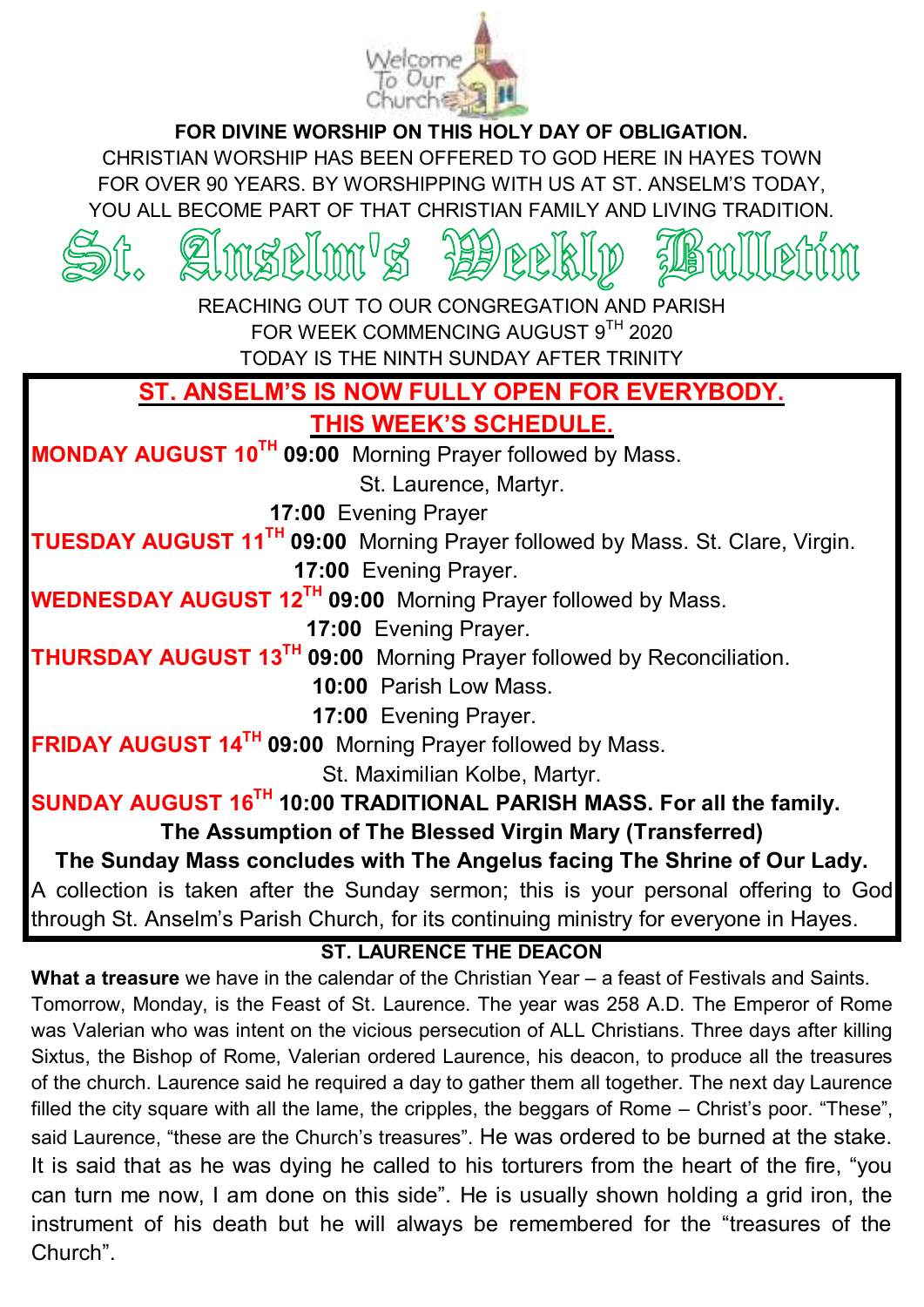

**FOR DIVINE WORSHIP ON THIS HOLY DAY OF OBLIGATION.**

CHRISTIAN WORSHIP HAS BEEN OFFERED TO GOD HERE IN HAYES TOWN FOR OVER 90 YEARS. BY WORSHIPPING WITH US AT ST. ANSEL M'S TODAY. YOU ALL BECOME PART OF THAT CHRISTIAN FAMILY AND LIVING TRADITION.



### **ST. LAURENCE THE DEACON**

**What a treasure** we have in the calendar of the Christian Year – a feast of Festivals and Saints. Tomorrow, Monday, is the Feast of St. Laurence. The year was 258 A.D. The Emperor of Rome was Valerian who was intent on the vicious persecution of ALL Christians. Three days after killing Sixtus, the Bishop of Rome, Valerian ordered Laurence, his deacon, to produce all the treasures of the church. Laurence said he required a day to gather them all together. The next day Laurence filled the city square with all the lame, the cripples, the beggars of Rome  $-$  Christ's poor. "These", said Laurence, "these are the Church's treasures". He was ordered to be burned at the stake. It is said that as he was dying he called to his torturers from the heart of the fire. "vou can turn me now. I am done on this side". He is usually shown holding a grid iron, the instrument of his death but he will always be remembered for the "treasures of the Church".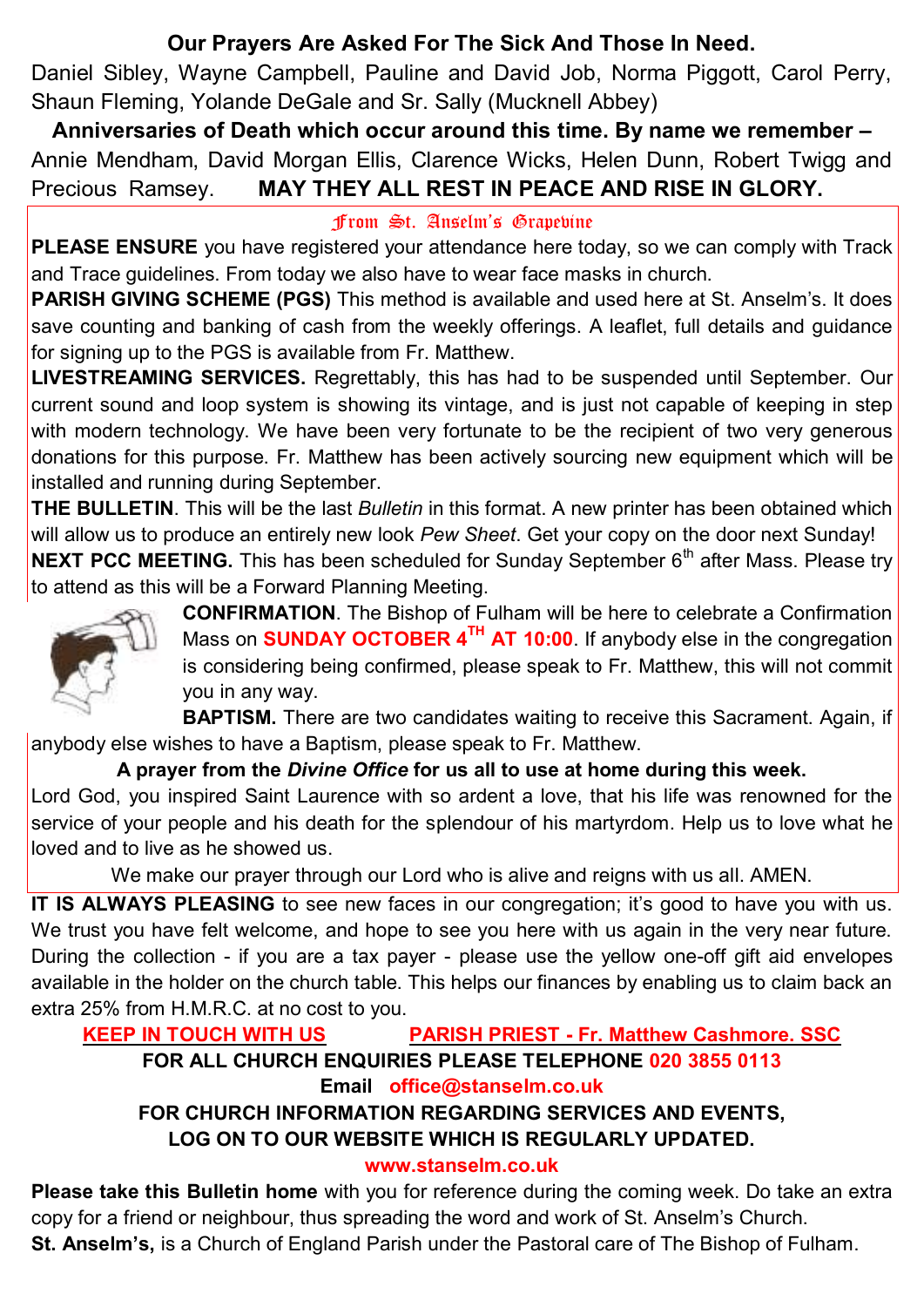# **Our Prayers Are Asked For The Sick And Those In Need.**

Daniel Sibley, Wayne Campbell, Pauline and David Job, Norma Piggott, Carol Perry, Shaun Fleming, Yolande DeGale and Sr. Sally (Mucknell Abbey)

**Anniversaries of Death which occur around this time. By name we remember –** Annie Mendham, David Morgan Ellis, Clarence Wicks, Helen Dunn, Robert Twigg and Precious Ramsey. **MAY THEY ALL REST IN PEACE AND RISE IN GLORY.**

#### from St. Anselm's Grapevine

**PLEASE ENSURE** you have registered your attendance here today, so we can comply with Track and Trace guidelines. From today we also have to wear face masks in church.

**PARISH GIVING SCHEME (PGS)** This method is available and used here at St. Anselm's. It does save counting and banking of cash from the weekly offerings. A leaflet, full details and guidance for signing up to the PGS is available from Fr. Matthew.

**LIVESTREAMING SERVICES.** Regrettably, this has had to be suspended until September. Our current sound and loop system is showing its vintage, and is just not capable of keeping in step with modern technology. We have been very fortunate to be the recipient of two very generous donations for this purpose. Fr. Matthew has been actively sourcing new equipment which will be installed and running during September.

**THE BULLETIN**. This will be the last *Bulletin* in this format. A new printer has been obtained which will allow us to produce an entirely new look *Pew Sheet*. Get your copy on the door next Sunday!

**NEXT PCC MEETING.** This has been scheduled for Sunday September 6<sup>th</sup> after Mass. Please try to attend as this will be a Forward Planning Meeting.



**CONFIRMATION**. The Bishop of Fulham will be here to celebrate a Confirmation Mass on **SUNDAY OCTOBER 4TH AT 10:00**. If anybody else in the congregation is considering being confirmed, please speak to Fr. Matthew, this will not commit you in any way.

**BAPTISM.** There are two candidates waiting to receive this Sacrament. Again, if anybody else wishes to have a Baptism, please speak to Fr. Matthew.

### **A prayer from the** *Divine Office* **for us all to use at home during this week.**

Lord God, you inspired Saint Laurence with so ardent a love, that his life was renowned for the service of your people and his death for the splendour of his martyrdom. Help us to love what he loved and to live as he showed us.

We make our prayer through our Lord who is alive and reigns with us all. AMEN.

**IT IS ALWAYS PLEASING** to see new faces in our congregation; it's good to have you with us. We trust you have felt welcome, and hope to see you here with us again in the very near future. During the collection - if you are a tax payer - please use the yellow one-off gift aid envelopes available in the holder on the church table. This helps our finances by enabling us to claim back an extra 25% from H.M.R.C. at no cost to you.

# **KEEP IN TOUCH WITH US PARISH PRIEST - Fr. Matthew Cashmore. SSC**

#### **FOR ALL CHURCH ENQUIRIES PLEASE TELEPHONE 020 3855 0113 Email office@stanselm.co.uk**

### **FOR CHURCH INFORMATION REGARDING SERVICES AND EVENTS, LOG ON TO OUR WEBSITE WHICH IS REGULARLY UPDATED.**

### **[www.stanselm.co.uk](http://www.stanselm.co.uk/)**

**Please take this Bulletin home** with you for reference during the coming week. Do take an extra copy for a friend or neighbour, thus spreading the word and work of St. Anselm's Church.

**St. Anselm's,** is a Church of England Parish under the Pastoral care of The Bishop of Fulham.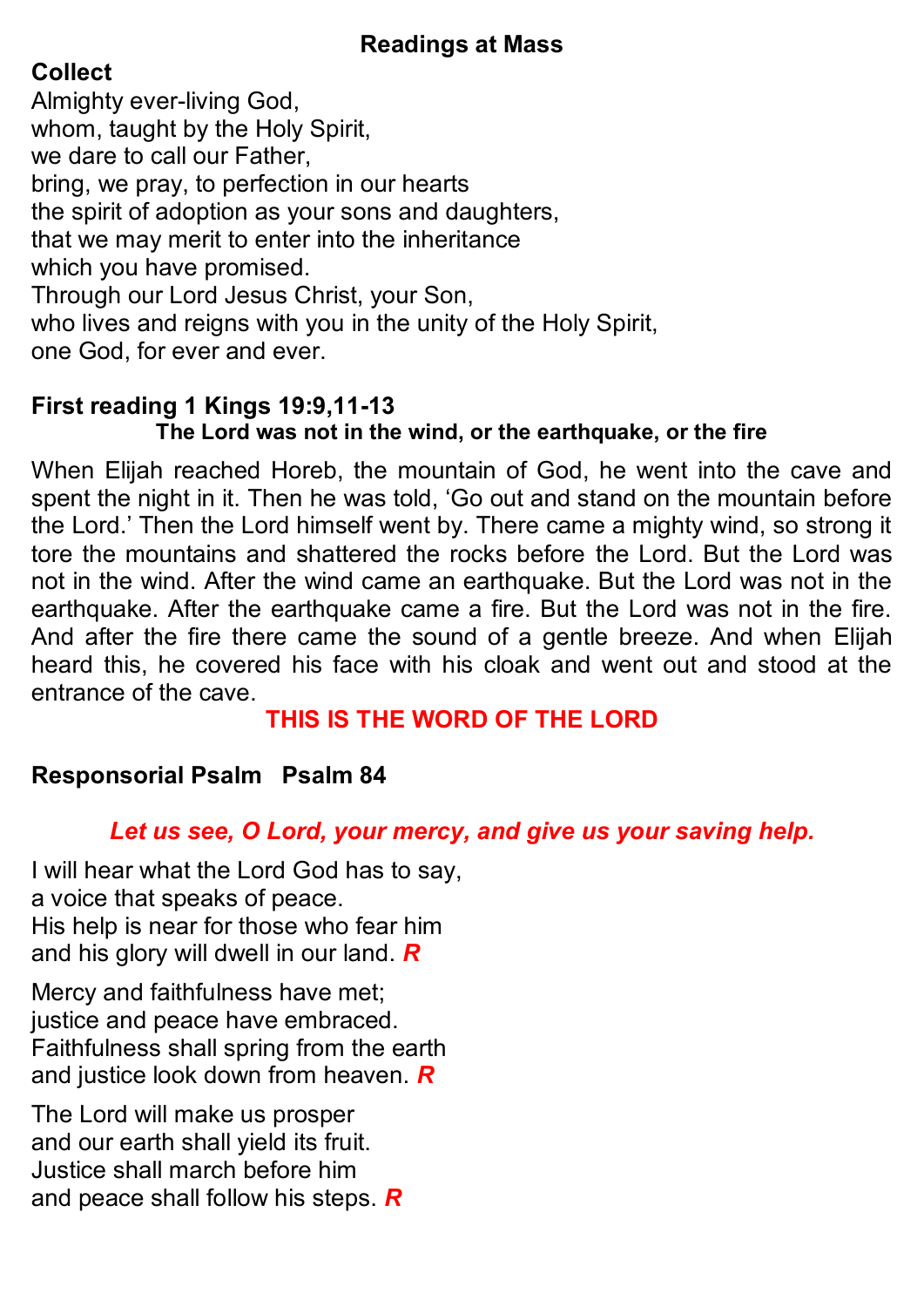# **Readings at Mass**

# **Collect**

Almighty ever-living God, whom, taught by the Holy Spirit, we dare to call our Father, bring, we pray, to perfection in our hearts the spirit of adoption as your sons and daughters, that we may merit to enter into the inheritance which you have promised. Through our Lord Jesus Christ, your Son, who lives and reigns with you in the unity of the Holy Spirit, one God, for ever and ever.

### **First reading 1 Kings 19:9,11-13 The Lord was not in the wind, or the earthquake, or the fire**

When Elijah reached Horeb, the mountain of God, he went into the cave and spent the night in it. Then he was told, 'Go out and stand on the mountain before the Lord.' Then the Lord himself went by. There came a mighty wind, so strong it tore the mountains and shattered the rocks before the Lord. But the Lord was not in the wind. After the wind came an earthquake. But the Lord was not in the earthquake. After the earthquake came a fire. But the Lord was not in the fire. And after the fire there came the sound of a gentle breeze. And when Elijah heard this, he covered his face with his cloak and went out and stood at the entrance of the cave.

# **THIS IS THE WORD OF THE LORD**

# **Responsorial Psalm Psalm 84**

# *Let us see, O Lord, your mercy, and give us your saving help.*

I will hear what the Lord God has to say, a voice that speaks of peace. His help is near for those who fear him and his glory will dwell in our land. *R*

Mercy and faithfulness have met; justice and peace have embraced. Faithfulness shall spring from the earth and justice look down from heaven. *R*

The Lord will make us prosper and our earth shall yield its fruit. Justice shall march before him and peace shall follow his steps. *R*